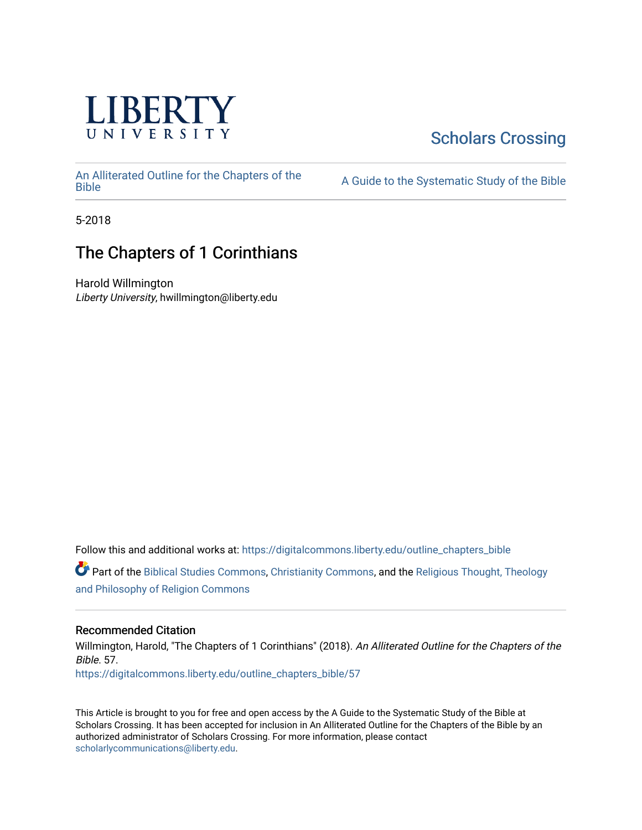

# [Scholars Crossing](https://digitalcommons.liberty.edu/)

[An Alliterated Outline for the Chapters of the](https://digitalcommons.liberty.edu/outline_chapters_bible) 

A Guide to the Systematic Study of the [Bible](https://digitalcommons.liberty.edu/outline_chapters_bible)

5-2018

# The Chapters of 1 Corinthians

Harold Willmington Liberty University, hwillmington@liberty.edu

Follow this and additional works at: [https://digitalcommons.liberty.edu/outline\\_chapters\\_bible](https://digitalcommons.liberty.edu/outline_chapters_bible?utm_source=digitalcommons.liberty.edu%2Foutline_chapters_bible%2F57&utm_medium=PDF&utm_campaign=PDFCoverPages)

Part of the [Biblical Studies Commons,](http://network.bepress.com/hgg/discipline/539?utm_source=digitalcommons.liberty.edu%2Foutline_chapters_bible%2F57&utm_medium=PDF&utm_campaign=PDFCoverPages) [Christianity Commons,](http://network.bepress.com/hgg/discipline/1181?utm_source=digitalcommons.liberty.edu%2Foutline_chapters_bible%2F57&utm_medium=PDF&utm_campaign=PDFCoverPages) and the [Religious Thought, Theology](http://network.bepress.com/hgg/discipline/544?utm_source=digitalcommons.liberty.edu%2Foutline_chapters_bible%2F57&utm_medium=PDF&utm_campaign=PDFCoverPages)  [and Philosophy of Religion Commons](http://network.bepress.com/hgg/discipline/544?utm_source=digitalcommons.liberty.edu%2Foutline_chapters_bible%2F57&utm_medium=PDF&utm_campaign=PDFCoverPages)

# Recommended Citation

Willmington, Harold, "The Chapters of 1 Corinthians" (2018). An Alliterated Outline for the Chapters of the Bible. 57. [https://digitalcommons.liberty.edu/outline\\_chapters\\_bible/57](https://digitalcommons.liberty.edu/outline_chapters_bible/57?utm_source=digitalcommons.liberty.edu%2Foutline_chapters_bible%2F57&utm_medium=PDF&utm_campaign=PDFCoverPages) 

This Article is brought to you for free and open access by the A Guide to the Systematic Study of the Bible at Scholars Crossing. It has been accepted for inclusion in An Alliterated Outline for the Chapters of the Bible by an authorized administrator of Scholars Crossing. For more information, please contact [scholarlycommunications@liberty.edu.](mailto:scholarlycommunications@liberty.edu)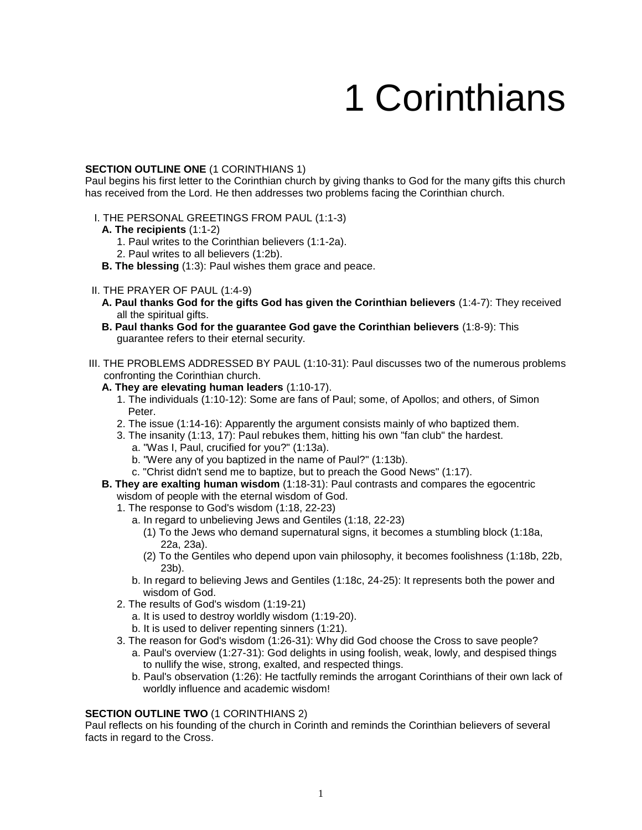# 1 Corinthians

#### **SECTION OUTLINE ONE** (1 CORINTHIANS 1)

Paul begins his first letter to the Corinthian church by giving thanks to God for the many gifts this church has received from the Lord. He then addresses two problems facing the Corinthian church.

- I. THE PERSONAL GREETINGS FROM PAUL (1:1-3)
	- **A. The recipients** (1:1-2)
		- 1. Paul writes to the Corinthian believers (1:1-2a).
		- 2. Paul writes to all believers (1:2b).
	- **B. The blessing** (1:3): Paul wishes them grace and peace.

## II. THE PRAYER OF PAUL (1:4-9)

- **A. Paul thanks God for the gifts God has given the Corinthian believers** (1:4-7): They received all the spiritual gifts.
- **B. Paul thanks God for the guarantee God gave the Corinthian believers** (1:8-9): This guarantee refers to their eternal security.
- III. THE PROBLEMS ADDRESSED BY PAUL (1:10-31): Paul discusses two of the numerous problems confronting the Corinthian church.
	- **A. They are elevating human leaders** (1:10-17).
		- 1. The individuals (1:10-12): Some are fans of Paul; some, of Apollos; and others, of Simon Peter.
		- 2. The issue (1:14-16): Apparently the argument consists mainly of who baptized them.
		- 3. The insanity (1:13, 17): Paul rebukes them, hitting his own "fan club" the hardest.
			- a. "Was I, Paul, crucified for you?" (1:13a).
			- b. "Were any of you baptized in the name of Paul?" (1:13b).
			- c. "Christ didn't send me to baptize, but to preach the Good News" (1:17).
	- **B. They are exalting human wisdom** (1:18-31): Paul contrasts and compares the egocentric wisdom of people with the eternal wisdom of God.
		- 1. The response to God's wisdom (1:18, 22-23)
			- a. In regard to unbelieving Jews and Gentiles (1:18, 22-23)
				- (1) To the Jews who demand supernatural signs, it becomes a stumbling block (1:18a, 22a, 23a).
				- (2) To the Gentiles who depend upon vain philosophy, it becomes foolishness (1:18b, 22b, 23b).
			- b. In regard to believing Jews and Gentiles (1:18c, 24-25): It represents both the power and wisdom of God.
		- 2. The results of God's wisdom (1:19-21)
			- a. It is used to destroy worldly wisdom (1:19-20).
			- b. It is used to deliver repenting sinners (1:21).
		- 3. The reason for God's wisdom (1:26-31): Why did God choose the Cross to save people?
			- a. Paul's overview (1:27-31): God delights in using foolish, weak, lowly, and despised things to nullify the wise, strong, exalted, and respected things.
			- b. Paul's observation (1:26): He tactfully reminds the arrogant Corinthians of their own lack of worldly influence and academic wisdom!

#### **SECTION OUTLINE TWO** (1 CORINTHIANS 2)

Paul reflects on his founding of the church in Corinth and reminds the Corinthian believers of several facts in regard to the Cross.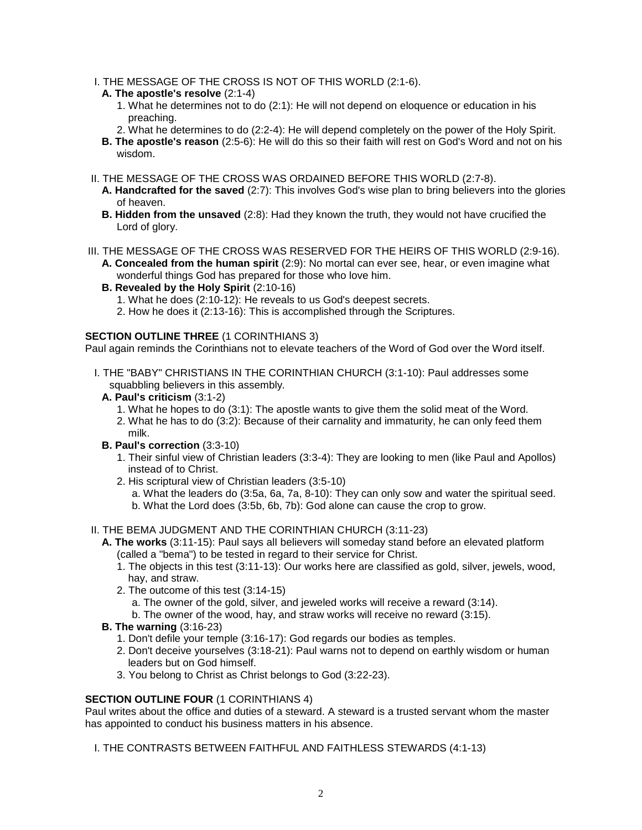- I. THE MESSAGE OF THE CROSS IS NOT OF THIS WORLD (2:1-6).
- **A. The apostle's resolve** (2:1-4)
	- 1. What he determines not to do (2:1): He will not depend on eloquence or education in his preaching.
	- 2. What he determines to do (2:2-4): He will depend completely on the power of the Holy Spirit.
- **B. The apostle's reason** (2:5-6): He will do this so their faith will rest on God's Word and not on his wisdom.
- II. THE MESSAGE OF THE CROSS WAS ORDAINED BEFORE THIS WORLD (2:7-8).
	- **A. Handcrafted for the saved** (2:7): This involves God's wise plan to bring believers into the glories of heaven.
	- **B. Hidden from the unsaved** (2:8): Had they known the truth, they would not have crucified the Lord of glory.
- III. THE MESSAGE OF THE CROSS WAS RESERVED FOR THE HEIRS OF THIS WORLD (2:9-16). **A. Concealed from the human spirit** (2:9): No mortal can ever see, hear, or even imagine what
	- wonderful things God has prepared for those who love him.
	- **B. Revealed by the Holy Spirit** (2:10-16)
		- 1. What he does (2:10-12): He reveals to us God's deepest secrets.
		- 2. How he does it (2:13-16): This is accomplished through the Scriptures.

#### **SECTION OUTLINE THREE** (1 CORINTHIANS 3)

Paul again reminds the Corinthians not to elevate teachers of the Word of God over the Word itself.

- I. THE "BABY" CHRISTIANS IN THE CORINTHIAN CHURCH (3:1-10): Paul addresses some squabbling believers in this assembly.
	- **A. Paul's criticism** (3:1-2)
		- 1. What he hopes to do (3:1): The apostle wants to give them the solid meat of the Word.
		- 2. What he has to do (3:2): Because of their carnality and immaturity, he can only feed them milk.
	- **B. Paul's correction** (3:3-10)
		- 1. Their sinful view of Christian leaders (3:3-4): They are looking to men (like Paul and Apollos) instead of to Christ.
		- 2. His scriptural view of Christian leaders (3:5-10)
			- a. What the leaders do (3:5a, 6a, 7a, 8-10): They can only sow and water the spiritual seed. b. What the Lord does (3:5b, 6b, 7b): God alone can cause the crop to grow.

# II. THE BEMA JUDGMENT AND THE CORINTHIAN CHURCH (3:11-23)

- **A. The works** (3:11-15): Paul says alI believers will someday stand before an elevated platform (called a "bema") to be tested in regard to their service for Christ.
	- 1. The objects in this test (3:11-13): Our works here are classified as gold, silver, jewels, wood, hay, and straw.
	- 2. The outcome of this test (3:14-15)
		- a. The owner of the gold, silver, and jeweled works will receive a reward (3:14).
		- b. The owner of the wood, hay, and straw works will receive no reward (3:15).
- **B. The warning** (3:16-23)
	- 1. Don't defile your temple (3:16-17): God regards our bodies as temples.
	- 2. Don't deceive yourselves (3:18-21): Paul warns not to depend on earthly wisdom or human leaders but on God himself.
	- 3. You belong to Christ as Christ belongs to God (3:22-23).

# **SECTION OUTLINE FOUR** (1 CORINTHIANS 4)

Paul writes about the office and duties of a steward. A steward is a trusted servant whom the master has appointed to conduct his business matters in his absence.

I. THE CONTRASTS BETWEEN FAITHFUL AND FAITHLESS STEWARDS (4:1-13)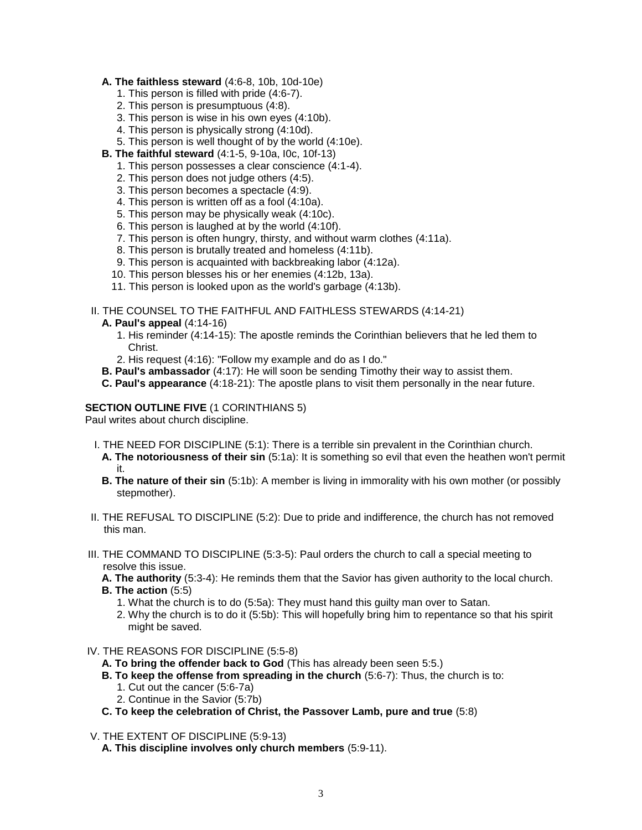## **A. The faithless steward** (4:6-8, 10b, 10d-10e)

- 1. This person is filled with pride (4:6-7).
- 2. This person is presumptuous (4:8).
- 3. This person is wise in his own eyes (4:10b).
- 4. This person is physically strong (4:10d).
- 5. This person is well thought of by the world (4:10e).
- **B. The faithful steward** (4:1-5, 9-10a, I0c, 10f-13)
	- 1. This person possesses a clear conscience (4:1-4).
	- 2. This person does not judge others (4:5).
	- 3. This person becomes a spectacle (4:9).
	- 4. This person is written off as a fool (4:10a).
	- 5. This person may be physically weak (4:10c).
	- 6. This person is laughed at by the world (4:10f).
	- 7. This person is often hungry, thirsty, and without warm clothes (4:11a).
	- 8. This person is brutally treated and homeless (4:11b).
	- 9. This person is acquainted with backbreaking labor (4:12a).
	- 10. This person blesses his or her enemies (4:12b, 13a).
	- 11. This person is looked upon as the world's garbage (4:13b).

II. THE COUNSEL TO THE FAITHFUL AND FAITHLESS STEWARDS (4:14-21)

- **A. Paul's appeal** (4:14-16)
	- 1. His reminder (4:14-15): The apostle reminds the Corinthian believers that he led them to Christ.
	- 2. His request (4:16): "Follow my example and do as I do."
- **B. Paul's ambassador** (4:17): He will soon be sending Timothy their way to assist them.
- **C. Paul's appearance** (4:18-21): The apostle plans to visit them personally in the near future.

## **SECTION OUTLINE FIVE** (1 CORINTHIANS 5)

Paul writes about church discipline.

- I. THE NEED FOR DISCIPLINE (5:1): There is a terrible sin prevalent in the Corinthian church.
	- **A. The notoriousness of their sin** (5:1a): It is something so evil that even the heathen won't permit it.
	- **B. The nature of their sin** (5:1b): A member is living in immorality with his own mother (or possibly stepmother).
- II. THE REFUSAL TO DISCIPLINE (5:2): Due to pride and indifference, the church has not removed this man.
- III. THE COMMAND TO DISCIPLINE (5:3-5): Paul orders the church to call a special meeting to resolve this issue.
	- **A. The authority** (5:3-4): He reminds them that the Savior has given authority to the local church. **B. The action** (5:5)
		- 1. What the church is to do (5:5a): They must hand this guilty man over to Satan.
		- 2. Why the church is to do it (5:5b): This will hopefully bring him to repentance so that his spirit might be saved.
- IV. THE REASONS FOR DISCIPLINE (5:5-8)
	- **A. To bring the offender back to God** (This has already been seen 5:5.)
	- **B. To keep the offense from spreading in the church** (5:6-7): Thus, the church is to:
		- 1. Cut out the cancer (5:6-7a)
		- 2. Continue in the Savior (5:7b)
	- **C. To keep the celebration of Christ, the Passover Lamb, pure and true** (5:8)
- V. THE EXTENT OF DISCIPLINE (5:9-13)
	- **A. This discipline involves only church members** (5:9-11).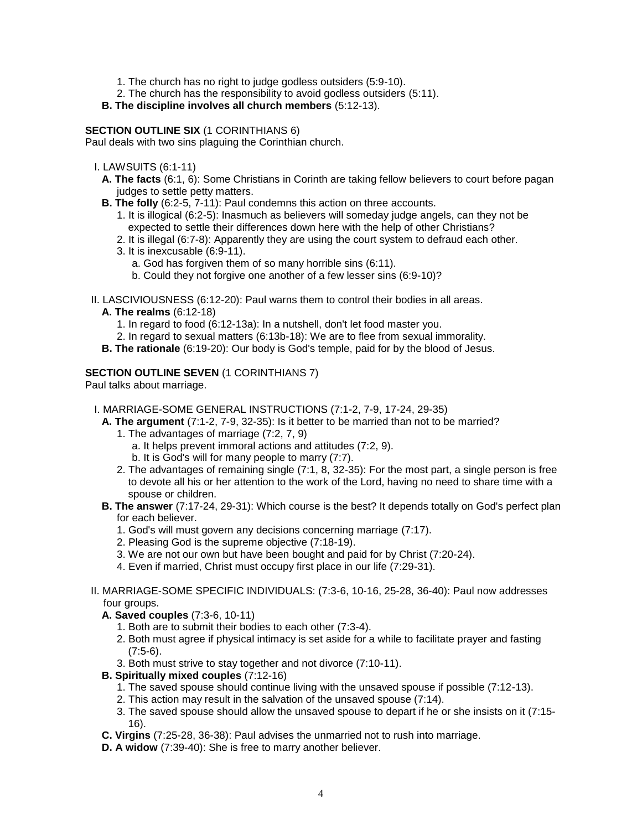- 1. The church has no right to judge godless outsiders (5:9-10).
- 2. The church has the responsibility to avoid godless outsiders (5:11).
- **B. The discipline involves all church members** (5:12-13).

# **SECTION OUTLINE SIX** (1 CORINTHIANS 6)

Paul deals with two sins plaguing the Corinthian church.

- I. LAWSUITS (6:1-11)
	- **A. The facts** (6:1, 6): Some Christians in Corinth are taking fellow believers to court before pagan judges to settle petty matters.
	- **B. The folly** (6:2-5, 7-11): Paul condemns this action on three accounts.
		- 1. It is illogical (6:2-5): Inasmuch as believers will someday judge angels, can they not be expected to settle their differences down here with the help of other Christians?
		- 2. It is illegal (6:7-8): Apparently they are using the court system to defraud each other.
		- 3. It is inexcusable (6:9-11).
			- a. God has forgiven them of so many horrible sins (6:11).
			- b. Could they not forgive one another of a few lesser sins (6:9-10)?
- II. LASCIVIOUSNESS (6:12-20): Paul warns them to control their bodies in all areas.
	- **A. The realms** (6:12-18)
		- 1. In regard to food (6:12-13a): In a nutshell, don't let food master you.
		- 2. In regard to sexual matters (6:13b-18): We are to flee from sexual immorality.
	- **B. The rationale** (6:19-20): Our body is God's temple, paid for by the blood of Jesus.

## **SECTION OUTLINE SEVEN** (1 CORINTHIANS 7)

Paul talks about marriage.

- I. MARRIAGE-SOME GENERAL INSTRUCTIONS (7:1-2, 7-9, 17-24, 29-35)
- **A. The argument** (7:1-2, 7-9, 32-35): Is it better to be married than not to be married?
	- 1. The advantages of marriage (7:2, 7, 9)
		- a. It helps prevent immoral actions and attitudes (7:2, 9).
		- b. It is God's will for many people to marry (7:7).
	- 2. The advantages of remaining single (7:1, 8, 32-35): For the most part, a single person is free to devote all his or her attention to the work of the Lord, having no need to share time with a spouse or children.
- **B. The answer** (7:17-24, 29-31): Which course is the best? It depends totally on God's perfect plan for each believer.
	- 1. God's will must govern any decisions concerning marriage (7:17).
	- 2. Pleasing God is the supreme objective (7:18-19).
	- 3. We are not our own but have been bought and paid for by Christ (7:20-24).
	- 4. Even if married, Christ must occupy first place in our life (7:29-31).
- II. MARRIAGE-SOME SPECIFIC INDIVIDUALS: (7:3-6, 10-16, 25-28, 36-40): Paul now addresses four groups.
	- **A. Saved couples** (7:3-6, 10-11)
		- 1. Both are to submit their bodies to each other (7:3-4).
		- 2. Both must agree if physical intimacy is set aside for a while to facilitate prayer and fasting  $(7:5-6)$ .
		- 3. Both must strive to stay together and not divorce (7:10-11).

# **B. Spiritually mixed couples** (7:12-16)

- 1. The saved spouse should continue living with the unsaved spouse if possible (7:12-13).
- 2. This action may result in the salvation of the unsaved spouse (7:14).
- 3. The saved spouse should allow the unsaved spouse to depart if he or she insists on it (7:15- 16).
- **C. Virgins** (7:25-28, 36-38): Paul advises the unmarried not to rush into marriage.
- **D. A widow** (7:39-40): She is free to marry another believer.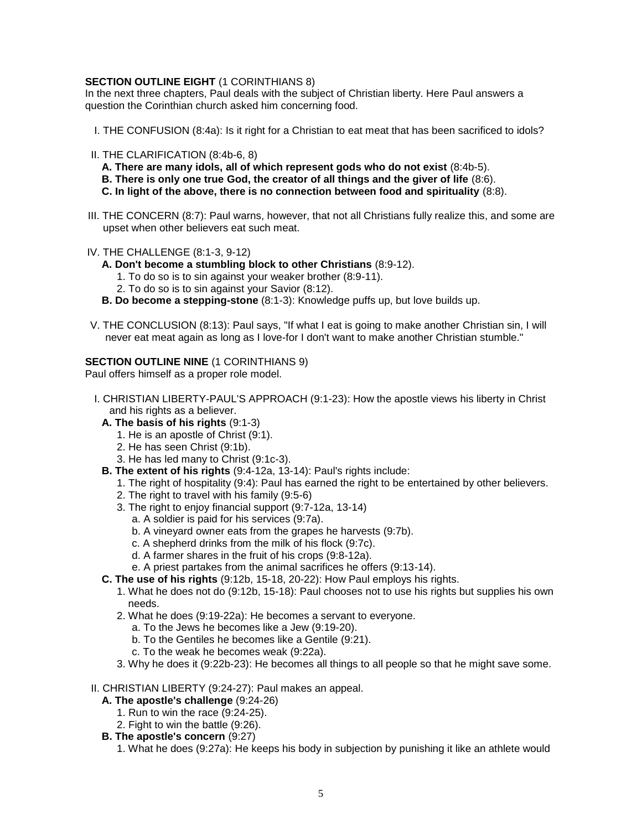# **SECTION OUTLINE EIGHT** (1 CORINTHIANS 8)

In the next three chapters, Paul deals with the subject of Christian liberty. Here Paul answers a question the Corinthian church asked him concerning food.

- I. THE CONFUSION (8:4a): Is it right for a Christian to eat meat that has been sacrificed to idols?
- II. THE CLARIFICATION (8:4b-6, 8)

**A. There are many idols, all of which represent gods who do not exist** (8:4b-5).

- **B. There is only one true God, the creator of all things and the giver of life** (8:6).
- **C. In light of the above, there is no connection between food and spirituality** (8:8).
- III. THE CONCERN (8:7): Paul warns, however, that not all Christians fully realize this, and some are upset when other believers eat such meat.
- IV. THE CHALLENGE (8:1-3, 9-12)
	- **A. Don't become a stumbling block to other Christians** (8:9-12).
		- 1. To do so is to sin against your weaker brother (8:9-11).
		- 2. To do so is to sin against your Savior (8:12).
	- **B. Do become a stepping-stone** (8:1-3): Knowledge puffs up, but love builds up.
- V. THE CONCLUSION (8:13): Paul says, "If what I eat is going to make another Christian sin, I will never eat meat again as long as I love-for I don't want to make another Christian stumble."

## **SECTION OUTLINE NINE** (1 CORINTHIANS 9)

Paul offers himself as a proper role model.

- I. CHRISTIAN LIBERTY-PAUL'S APPROACH (9:1-23): How the apostle views his liberty in Christ and his rights as a believer.
	- **A. The basis of his rights** (9:1-3)
		- 1. He is an apostle of Christ (9:1).
		- 2. He has seen Christ (9:1b).
		- 3. He has led many to Christ (9:1c-3).
	- **B. The extent of his rights** (9:4-12a, 13-14): Paul's rights include:
		- 1. The right of hospitality (9:4): Paul has earned the right to be entertained by other believers.
		- 2. The right to travel with his family (9:5-6)
		- 3. The right to enjoy financial support (9:7-12a, 13-14)
			- a. A soldier is paid for his services (9:7a).
			- b. A vineyard owner eats from the grapes he harvests (9:7b).
			- c. A shepherd drinks from the milk of his flock (9:7c).
			- d. A farmer shares in the fruit of his crops (9:8-12a).
			- e. A priest partakes from the animal sacrifices he offers (9:13-14).
	- **C. The use of his rights** (9:12b, 15-18, 20-22): How Paul employs his rights.
		- 1. What he does not do (9:12b, 15-18): Paul chooses not to use his rights but supplies his own needs.
		- 2. What he does (9:19-22a): He becomes a servant to everyone.
			- a. To the Jews he becomes like a Jew (9:19-20).
			- b. To the Gentiles he becomes like a Gentile (9:21).
			- c. To the weak he becomes weak (9:22a).
		- 3. Why he does it (9:22b-23): He becomes all things to all people so that he might save some.

#### II. CHRISTIAN LIBERTY (9:24-27): Paul makes an appeal.

- **A. The apostle's challenge** (9:24-26)
	- 1. Run to win the race (9:24-25).
	- 2. Fight to win the battle (9:26).
- **B. The apostle's concern** (9:27)
	- 1. What he does (9:27a): He keeps his body in subjection by punishing it like an athlete would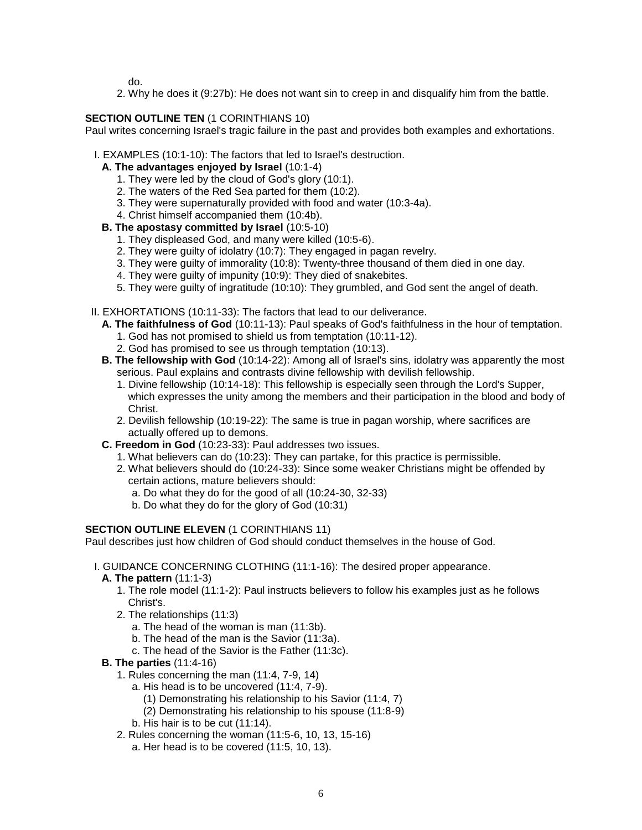do.

2. Why he does it (9:27b): He does not want sin to creep in and disqualify him from the battle.

# **SECTION OUTLINE TEN** (1 CORINTHIANS 10)

Paul writes concerning Israel's tragic failure in the past and provides both examples and exhortations.

- I. EXAMPLES (10:1-10): The factors that led to Israel's destruction.
	- **A. The advantages enjoyed by Israel** (10:1-4)
		- 1. They were led by the cloud of God's glory (10:1).
		- 2. The waters of the Red Sea parted for them (10:2).
		- 3. They were supernaturally provided with food and water (10:3-4a).
		- 4. Christ himself accompanied them (10:4b).
	- **B. The apostasy committed by Israel** (10:5-10)
		- 1. They displeased God, and many were killed (10:5-6).
		- 2. They were guilty of idolatry (10:7): They engaged in pagan revelry.
		- 3. They were guilty of immorality (10:8): Twenty-three thousand of them died in one day.
		- 4. They were guilty of impunity (10:9): They died of snakebites.
		- 5. They were guilty of ingratitude (10:10): They grumbled, and God sent the angel of death.
- II. EXHORTATIONS (10:11-33): The factors that lead to our deliverance.
	- **A. The faithfulness of God** (10:11-13): Paul speaks of God's faithfulness in the hour of temptation.
		- 1. God has not promised to shield us from temptation (10:11-12).
		- 2. God has promised to see us through temptation (10:13).
	- **B. The fellowship with God** (10:14-22): Among all of Israel's sins, idolatry was apparently the most serious. Paul explains and contrasts divine fellowship with devilish fellowship.
		- 1. Divine fellowship (10:14-18): This fellowship is especially seen through the Lord's Supper, which expresses the unity among the members and their participation in the blood and body of Christ.
		- 2. Devilish fellowship (10:19-22): The same is true in pagan worship, where sacrifices are actually offered up to demons.
	- **C. Freedom in God** (10:23-33): Paul addresses two issues.
		- 1. What believers can do (10:23): They can partake, for this practice is permissible.
		- 2. What believers should do (10:24-33): Since some weaker Christians might be offended by certain actions, mature believers should:
			- a. Do what they do for the good of all (10:24-30, 32-33)
			- b. Do what they do for the glory of God (10:31)

# **SECTION OUTLINE ELEVEN** (1 CORINTHIANS 11)

Paul describes just how children of God should conduct themselves in the house of God.

- I. GUIDANCE CONCERNING CLOTHING (11:1-16): The desired proper appearance.
	- **A. The pattern** (11:1-3)
		- 1. The role model (11:1-2): Paul instructs believers to follow his examples just as he follows Christ's.
		- 2. The relationships (11:3)
			- a. The head of the woman is man (11:3b).
			- b. The head of the man is the Savior (11:3a).
			- c. The head of the Savior is the Father (11:3c).
	- **B. The parties** (11:4-16)
		- 1. Rules concerning the man (11:4, 7-9, 14)
			- a. His head is to be uncovered (11:4, 7-9).
				- (1) Demonstrating his relationship to his Savior (11:4, 7)
				- (2) Demonstrating his relationship to his spouse (11:8-9)
			- b. His hair is to be cut (11:14).
		- 2. Rules concerning the woman (11:5-6, 10, 13, 15-16)
			- a. Her head is to be covered (11:5, 10, 13).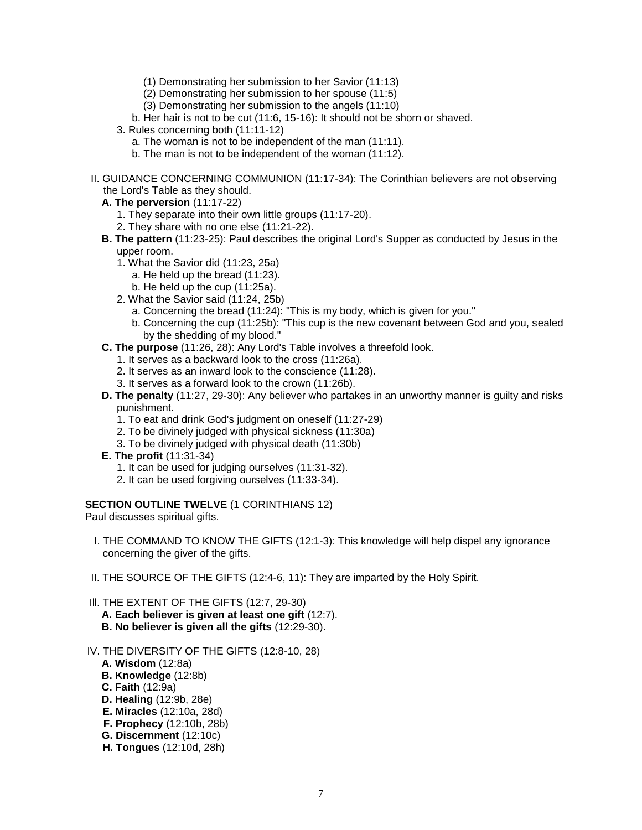- (1) Demonstrating her submission to her Savior (11:13)
- (2) Demonstrating her submission to her spouse (11:5)
- (3) Demonstrating her submission to the angels (11:10)
- b. Her hair is not to be cut (11:6, 15-16): It should not be shorn or shaved.
- 3. Rules concerning both (11:11-12)
	- a. The woman is not to be independent of the man (11:11).
	- b. The man is not to be independent of the woman (11:12).
- II. GUIDANCE CONCERNING COMMUNION (11:17-34): The Corinthian believers are not observing the Lord's Table as they should.
	- **A. The perversion** (11:17-22)
		- 1. They separate into their own little groups (11:17-20).
		- 2. They share with no one else (11:21-22).
	- **B. The pattern** (11:23-25): Paul describes the original Lord's Supper as conducted by Jesus in the upper room.
		- 1. What the Savior did (11:23, 25a)
			- a. He held up the bread (11:23).
			- b. He held up the cup (11:25a).
		- 2. What the Savior said (11:24, 25b)
			- a. Concerning the bread (11:24): "This is my body, which is given for you."
			- b. Concerning the cup (11:25b): "This cup is the new covenant between God and you, sealed by the shedding of my blood."
	- **C. The purpose** (11:26, 28): Any Lord's Table involves a threefold look.
		- 1. It serves as a backward look to the cross (11:26a).
		- 2. It serves as an inward look to the conscience (11:28).
		- 3. It serves as a forward look to the crown (11:26b).
	- **D. The penalty** (11:27, 29-30): Any believer who partakes in an unworthy manner is guilty and risks punishment.
		- 1. To eat and drink God's judgment on oneself (11:27-29)
		- 2. To be divinely judged with physical sickness (11:30a)
		- 3. To be divinely judged with physical death (11:30b)
	- **E. The profit** (11:31-34)
		- 1. It can be used for judging ourselves (11:31-32).
		- 2. It can be used forgiving ourselves (11:33-34).

#### **SECTION OUTLINE TWELVE** (1 CORINTHIANS 12)

Paul discusses spiritual gifts.

- I. THE COMMAND TO KNOW THE GIFTS (12:1-3): This knowledge will help dispel any ignorance concerning the giver of the gifts.
- II. THE SOURCE OF THE GIFTS (12:4-6, 11): They are imparted by the Holy Spirit.
- Ill. THE EXTENT OF THE GIFTS (12:7, 29-30)
	- **A. Each believer is given at least one gift** (12:7). **B. No believer is given all the gifts** (12:29-30).
- IV. THE DIVERSITY OF THE GIFTS (12:8-10, 28)
	- **A. Wisdom** (12:8a)
	- **B. Knowledge** (12:8b)
	- **C. Faith** (12:9a)
	- **D. Healing** (12:9b, 28e)
	- **E. Miracles** (12:10a, 28d)
	- **F. Prophecy** (12:10b, 28b)
	- **G. Discernment** (12:10c)
	- **H. Tongues** (12:10d, 28h)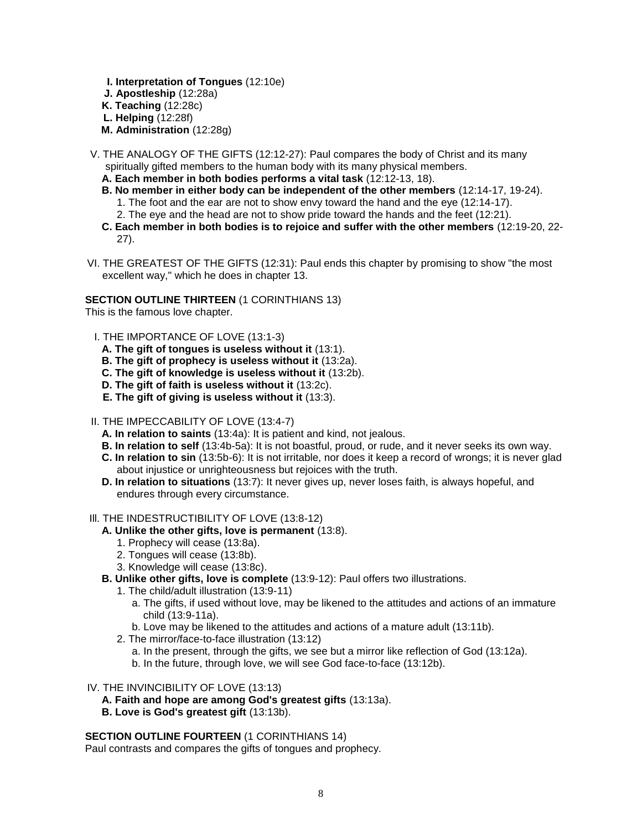- **I. Interpretation of Tongues** (12:10e) **J. Apostleship** (12:28a) **K. Teaching** (12:28c) **L. Helping** (12:28f)
- **M. Administration** (12:28g)
- V. THE ANALOGY OF THE GIFTS (12:12-27): Paul compares the body of Christ and its many spiritually gifted members to the human body with its many physical members.
	- **A. Each member in both bodies performs a vital task** (12:12-13, 18).
	- **B. No member in either body can be independent of the other members** (12:14-17, 19-24). 1. The foot and the ear are not to show envy toward the hand and the eye (12:14-17).
		- 2. The eye and the head are not to show pride toward the hands and the feet (12:21).
	- **C. Each member in both bodies is to rejoice and suffer with the other members** (12:19-20, 22- 27).
- VI. THE GREATEST OF THE GIFTS (12:31): Paul ends this chapter by promising to show "the most excellent way," which he does in chapter 13.

## **SECTION OUTLINE THIRTEEN** (1 CORINTHIANS 13)

This is the famous love chapter.

- I. THE IMPORTANCE OF LOVE (13:1-3)
	- **A. The gift of tongues is useless without it** (13:1).
	- **B. The gift of prophecy is useless without it** (13:2a).
	- **C. The gift of knowledge is useless without it** (13:2b).
	- **D. The gift of faith is useless without it** (13:2c).
	- **E. The gift of giving is useless without it** (13:3).
- II. THE IMPECCABILITY OF LOVE (13:4-7)
	- **A. In relation to saints** (13:4a): It is patient and kind, not jealous.
	- **B. In relation to self** (13:4b-5a): It is not boastful, proud, or rude, and it never seeks its own way.
	- **C. In relation to sin** (13:5b-6): It is not irritable, nor does it keep a record of wrongs; it is never glad about injustice or unrighteousness but rejoices with the truth.
	- **D. In relation to situations** (13:7): It never gives up, never loses faith, is always hopeful, and endures through every circumstance.
- III. THE INDESTRUCTIBILITY OF LOVE (13:8-12)
	- **A. Unlike the other gifts, love is permanent** (13:8).
		- 1. Prophecy will cease (13:8a).
		- 2. Tongues will cease (13:8b).
		- 3. Knowledge will cease (13:8c).
	- **B. Unlike other gifts, love is complete** (13:9-12): Paul offers two illustrations.
		- 1. The child/adult illustration (13:9-11)
			- a. The gifts, if used without love, may be likened to the attitudes and actions of an immature child (13:9-11a).
			- b. Love may be likened to the attitudes and actions of a mature adult (13:11b).
		- 2. The mirror/face-to-face illustration (13:12)
			- a. In the present, through the gifts, we see but a mirror like reflection of God (13:12a).
			- b. In the future, through love, we will see God face-to-face (13:12b).
- IV. THE INVINCIBILITY OF LOVE (13:13)
	- **A. Faith and hope are among God's greatest gifts** (13:13a).
	- **B. Love is God's greatest gift** (13:13b).

#### **SECTION OUTLINE FOURTEEN** (1 CORINTHIANS 14)

Paul contrasts and compares the gifts of tongues and prophecy.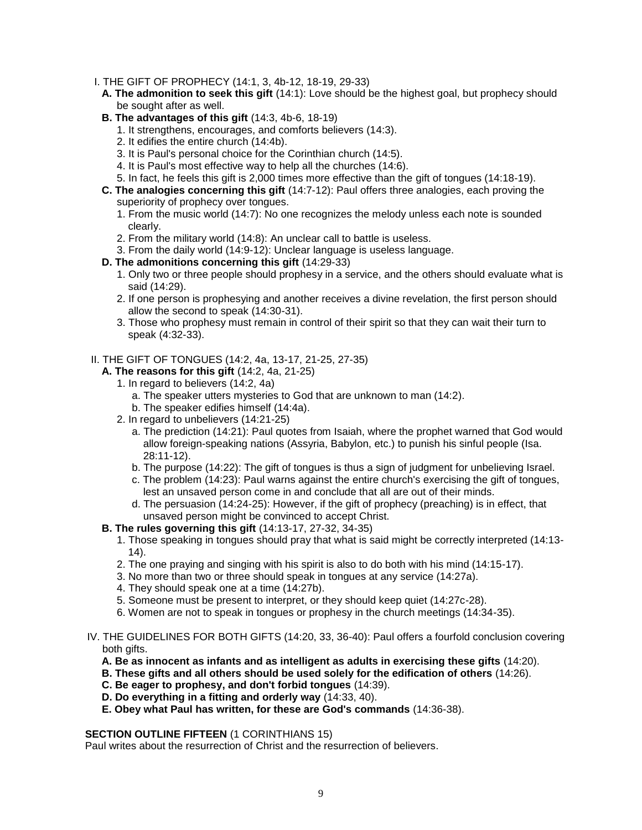- I. THE GIFT OF PROPHECY (14:1, 3, 4b-12, 18-19, 29-33)
	- **A. The admonition to seek this gift** (14:1): Love should be the highest goal, but prophecy should be sought after as well.
	- **B. The advantages of this gift** (14:3, 4b-6, 18-19)
		- 1. It strengthens, encourages, and comforts believers (14:3).
		- 2. It edifies the entire church (14:4b).
		- 3. It is Paul's personal choice for the Corinthian church (14:5).
		- 4. It is Paul's most effective way to help all the churches (14:6).
		- 5. In fact, he feels this gift is 2,000 times more effective than the gift of tongues (14:18-19).
	- **C. The analogies concerning this gift** (14:7-12): Paul offers three analogies, each proving the superiority of prophecy over tongues.
		- 1. From the music world (14:7): No one recognizes the melody unless each note is sounded clearly.
		- 2. From the military world (14:8): An unclear call to battle is useless.
		- 3. From the daily world (14:9-12): Unclear language is useless language.
	- **D. The admonitions concerning this gift** (14:29-33)
		- 1. Only two or three people should prophesy in a service, and the others should evaluate what is said (14:29).
		- 2. If one person is prophesying and another receives a divine revelation, the first person should allow the second to speak (14:30-31).
		- 3. Those who prophesy must remain in control of their spirit so that they can wait their turn to speak (4:32-33).

## II. THE GIFT OF TONGUES (14:2, 4a, 13-17, 21-25, 27-35)

- **A. The reasons for this gift** (14:2, 4a, 21-25)
	- 1. In regard to believers (14:2, 4a)
		- a. The speaker utters mysteries to God that are unknown to man (14:2).
		- b. The speaker edifies himself (14:4a).
	- 2. In regard to unbelievers (14:21-25)
		- a. The prediction (14:21): Paul quotes from Isaiah, where the prophet warned that God would allow foreign-speaking nations (Assyria, Babylon, etc.) to punish his sinful people (Isa. 28:11-12).
		- b. The purpose (14:22): The gift of tongues is thus a sign of judgment for unbelieving Israel.
		- c. The problem (14:23): Paul warns against the entire church's exercising the gift of tongues, lest an unsaved person come in and conclude that all are out of their minds.
		- d. The persuasion (14:24-25): However, if the gift of prophecy (preaching) is in effect, that unsaved person might be convinced to accept Christ.
- **B. The rules governing this gift** (14:13-17, 27-32, 34-35)
	- 1. Those speaking in tongues should pray that what is said might be correctly interpreted (14:13- 14).
	- 2. The one praying and singing with his spirit is also to do both with his mind (14:15-17).
	- 3. No more than two or three should speak in tongues at any service (14:27a).
	- 4. They should speak one at a time (14:27b).
	- 5. Someone must be present to interpret, or they should keep quiet (14:27c-28).
	- 6. Women are not to speak in tongues or prophesy in the church meetings (14:34-35).
- IV. THE GUIDELINES FOR BOTH GIFTS (14:20, 33, 36-40): Paul offers a fourfold conclusion covering both gifts.
	- **A. Be as innocent as infants and as intelligent as adults in exercising these gifts** (14:20).
	- **B. These gifts and all others should be used solely for the edification of others** (14:26).
	- **C. Be eager to prophesy, and don't forbid tongues** (14:39).
	- **D. Do everything in a fitting and orderly way** (14:33, 40).
	- **E. Obey what Paul has written, for these are God's commands** (14:36-38).

#### **SECTION OUTLINE FIFTEEN** (1 CORINTHIANS 15)

Paul writes about the resurrection of Christ and the resurrection of believers.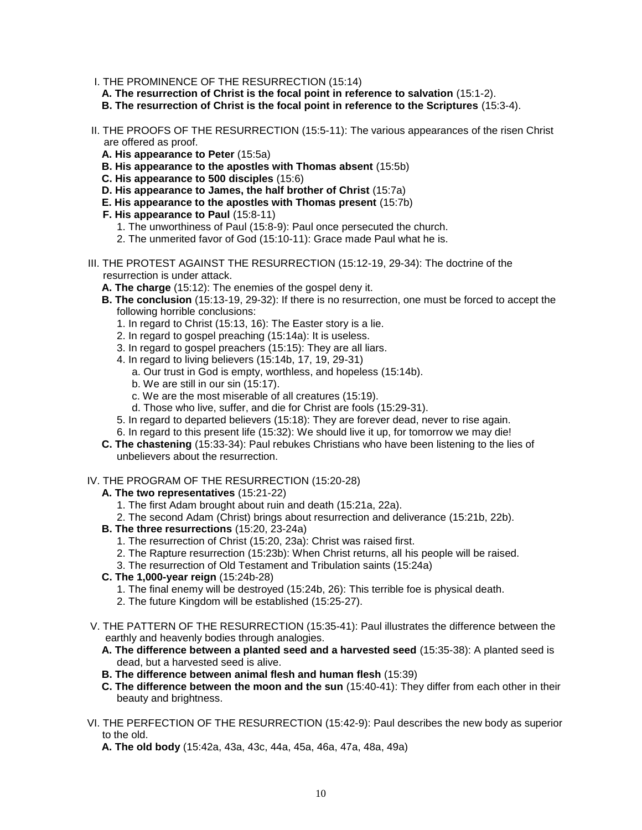- I. THE PROMINENCE OF THE RESURRECTION (15:14)
	- **A. The resurrection of Christ is the focal point in reference to salvation** (15:1-2).
	- **B. The resurrection of Christ is the focal point in reference to the Scriptures** (15:3-4).
- II. THE PROOFS OF THE RESURRECTION (15:5-11): The various appearances of the risen Christ are offered as proof.
	- **A. His appearance to Peter** (15:5a)
	- **B. His appearance to the apostles with Thomas absent** (15:5b)
	- **C. His appearance to 500 disciples** (15:6)
	- **D. His appearance to James, the half brother of Christ** (15:7a)
	- **E. His appearance to the apostles with Thomas present** (15:7b)
	- **F. His appearance to Paul** (15:8-11)
		- 1. The unworthiness of Paul (15:8-9): Paul once persecuted the church.
		- 2. The unmerited favor of God (15:10-11): Grace made Paul what he is.
- III. THE PROTEST AGAINST THE RESURRECTION (15:12-19, 29-34): The doctrine of the resurrection is under attack.
	- **A. The charge** (15:12): The enemies of the gospel deny it.
	- **B. The conclusion** (15:13-19, 29-32): If there is no resurrection, one must be forced to accept the following horrible conclusions:
		- 1. In regard to Christ (15:13, 16): The Easter story is a lie.
		- 2. In regard to gospel preaching (15:14a): It is useless.
		- 3. In regard to gospel preachers (15:15): They are all liars.
		- 4. In regard to living believers (15:14b, 17, 19, 29-31)
			- a. Our trust in God is empty, worthless, and hopeless (15:14b).
			- b. We are still in our sin (15:17).
			- c. We are the most miserable of all creatures (15:19).
			- d. Those who live, suffer, and die for Christ are fools (15:29-31).
		- 5. In regard to departed believers (15:18): They are forever dead, never to rise again.
		- 6. In regard to this present life (15:32): We should live it up, for tomorrow we may die!
	- **C. The chastening** (15:33-34): Paul rebukes Christians who have been listening to the lies of unbelievers about the resurrection.

#### IV. THE PROGRAM OF THE RESURRECTION (15:20-28)

- **A. The two representatives** (15:21-22)
	- 1. The first Adam brought about ruin and death (15:21a, 22a).
	- 2. The second Adam (Christ) brings about resurrection and deliverance (15:21b, 22b).
- **B. The three resurrections** (15:20, 23-24a)
	- 1. The resurrection of Christ (15:20, 23a): Christ was raised first.
	- 2. The Rapture resurrection (15:23b): When Christ returns, all his people will be raised.
	- 3. The resurrection of Old Testament and Tribulation saints (15:24a)

# **C. The 1,000-year reign** (15:24b-28)

- 1. The final enemy will be destroyed (15:24b, 26): This terrible foe is physical death.
- 2. The future Kingdom will be established (15:25-27).
- V. THE PATTERN OF THE RESURRECTION (15:35-41): Paul illustrates the difference between the earthly and heavenly bodies through analogies.
	- **A. The difference between a planted seed and a harvested seed** (15:35-38): A planted seed is dead, but a harvested seed is alive.
	- **B. The difference between animal flesh and human flesh** (15:39)
	- **C. The difference between the moon and the sun** (15:40-41): They differ from each other in their beauty and brightness.
- VI. THE PERFECTION OF THE RESURRECTION (15:42-9): Paul describes the new body as superior to the old.
	- **A. The old body** (15:42a, 43a, 43c, 44a, 45a, 46a, 47a, 48a, 49a)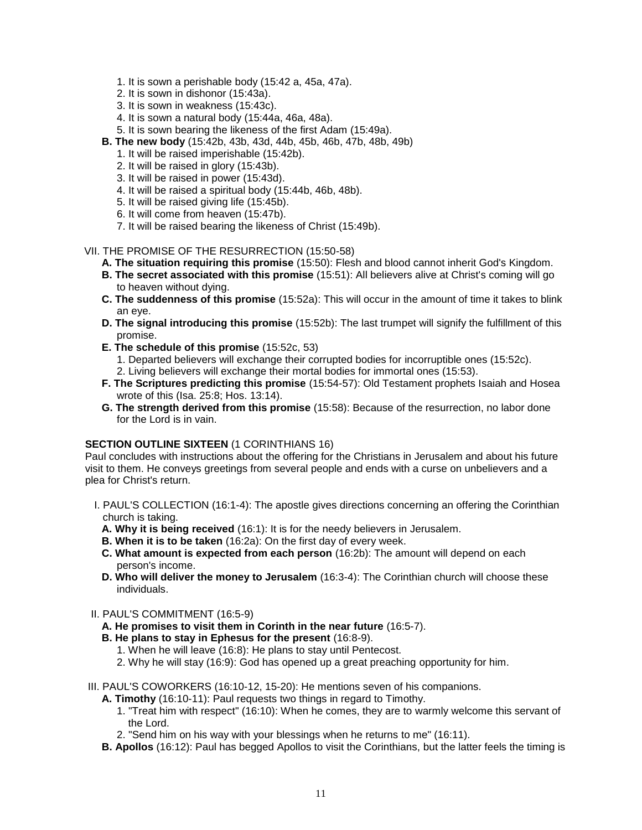- 1. It is sown a perishable body (15:42 a, 45a, 47a).
- 2. It is sown in dishonor (15:43a).
- 3. It is sown in weakness (15:43c).
- 4. It is sown a natural body (15:44a, 46a, 48a).
- 5. It is sown bearing the likeness of the first Adam (15:49a).
- **B. The new body** (15:42b, 43b, 43d, 44b, 45b, 46b, 47b, 48b, 49b)
	- 1. It will be raised imperishable (15:42b).
	- 2. It will be raised in glory (15:43b).
	- 3. It will be raised in power (15:43d).
	- 4. It will be raised a spiritual body (15:44b, 46b, 48b).
	- 5. It will be raised giving life (15:45b).
	- 6. It will come from heaven (15:47b).
	- 7. It will be raised bearing the likeness of Christ (15:49b).
- VII. THE PROMISE OF THE RESURRECTION (15:50-58)
	- **A. The situation requiring this promise** (15:50): Flesh and blood cannot inherit God's Kingdom.
	- **B. The secret associated with this promise** (15:51): All believers alive at Christ's coming will go to heaven without dying.
	- **C. The suddenness of this promise** (15:52a): This will occur in the amount of time it takes to blink an eye.
	- **D. The signal introducing this promise** (15:52b): The last trumpet will signify the fulfillment of this promise.
	- **E. The schedule of this promise** (15:52c, 53)
		- 1. Departed believers will exchange their corrupted bodies for incorruptible ones (15:52c).
		- 2. Living believers will exchange their mortal bodies for immortal ones (15:53).
	- **F. The Scriptures predicting this promise** (15:54-57): Old Testament prophets Isaiah and Hosea wrote of this (Isa. 25:8; Hos. 13:14).
	- **G. The strength derived from this promise** (15:58): Because of the resurrection, no labor done for the Lord is in vain.

## **SECTION OUTLINE SIXTEEN (1 CORINTHIANS 16)**

Paul concludes with instructions about the offering for the Christians in Jerusalem and about his future visit to them. He conveys greetings from several people and ends with a curse on unbelievers and a plea for Christ's return.

- I. PAUL'S COLLECTION (16:1-4): The apostle gives directions concerning an offering the Corinthian church is taking.
	- **A. Why it is being received** (16:1): It is for the needy believers in Jerusalem.
	- **B. When it is to be taken** (16:2a): On the first day of every week.
	- **C. What amount is expected from each person** (16:2b): The amount will depend on each person's income.
	- **D. Who will deliver the money to Jerusalem** (16:3-4): The Corinthian church will choose these individuals.

#### II. PAUL'S COMMITMENT (16:5-9)

- **A. He promises to visit them in Corinth in the near future** (16:5-7).
- **B. He plans to stay in Ephesus for the present** (16:8-9).
	- 1. When he will leave (16:8): He plans to stay until Pentecost.
	- 2. Why he will stay (16:9): God has opened up a great preaching opportunity for him.
- III. PAUL'S COWORKERS (16:10-12, 15-20): He mentions seven of his companions.
	- **A. Timothy** (16:10-11): Paul requests two things in regard to Timothy.
		- 1. "Treat him with respect" (16:10): When he comes, they are to warmly welcome this servant of the Lord.
		- 2. "Send him on his way with your blessings when he returns to me" (16:11).
	- **B. Apollos** (16:12): Paul has begged Apollos to visit the Corinthians, but the latter feels the timing is